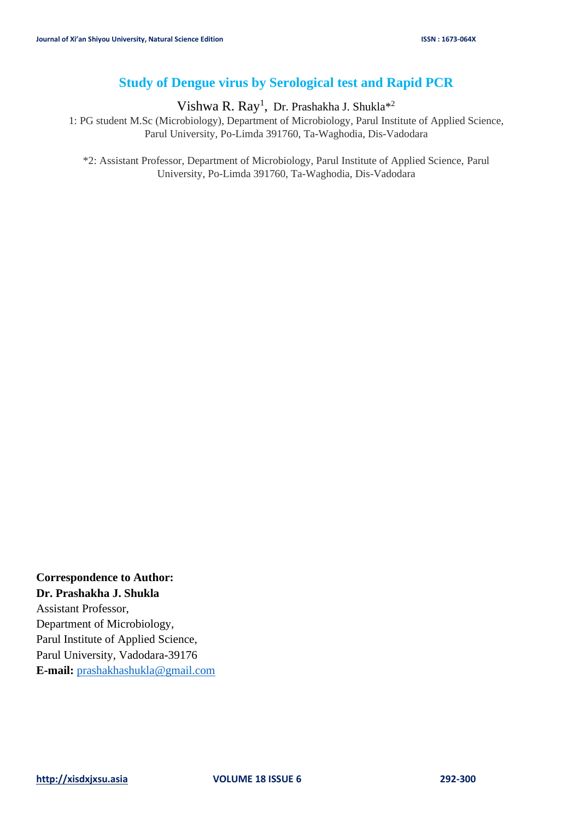# **Study of Dengue virus by Serological test and Rapid PCR**

Vishwa R. Ray<sup>1</sup>, Dr. Prashakha J. Shukla<sup>\*2</sup>

1: PG student M.Sc (Microbiology), Department of Microbiology, Parul Institute of Applied Science, Parul University, Po-Limda 391760, Ta-Waghodia, Dis-Vadodara

\*2: Assistant Professor, Department of Microbiology, Parul Institute of Applied Science, Parul University, Po-Limda 391760, Ta-Waghodia, Dis-Vadodara

**Correspondence to Author: Dr. Prashakha J. Shukla** Assistant Professor, Department of Microbiology, Parul Institute of Applied Science, Parul University, Vadodara-39176 **E-mail:** [prashakhashukla@gmail.com](mailto:prashakhashukla@gmail.com)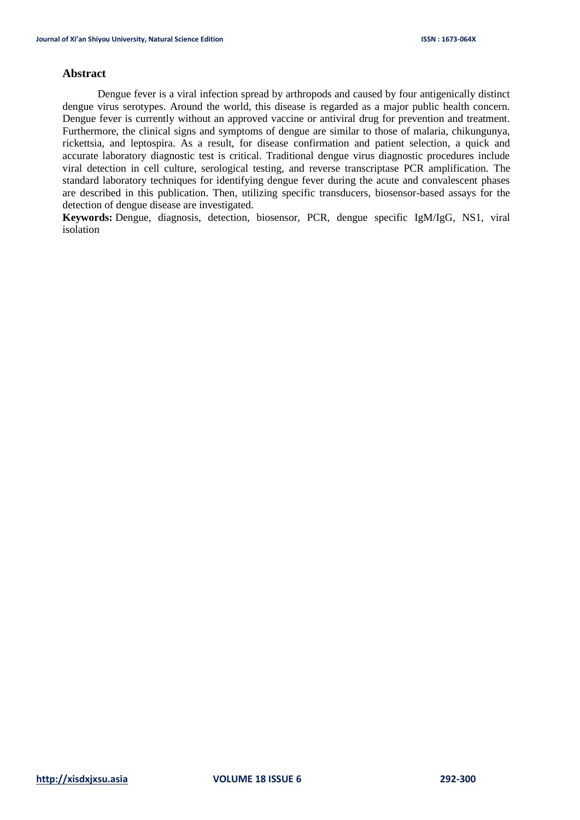# **Abstract**

Dengue fever is a viral infection spread by arthropods and caused by four antigenically distinct dengue virus serotypes. Around the world, this disease is regarded as a major public health concern. Dengue fever is currently without an approved vaccine or antiviral drug for prevention and treatment. Furthermore, the clinical signs and symptoms of dengue are similar to those of malaria, chikungunya, rickettsia, and leptospira. As a result, for disease confirmation and patient selection, a quick and accurate laboratory diagnostic test is critical. Traditional dengue virus diagnostic procedures include viral detection in cell culture, serological testing, and reverse transcriptase PCR amplification. The standard laboratory techniques for identifying dengue fever during the acute and convalescent phases are described in this publication. Then, utilizing specific transducers, biosensor-based assays for the detection of dengue disease are investigated.

**Keywords:** Dengue, diagnosis, detection, biosensor, PCR, dengue specific IgM/IgG, NS1, viral isolation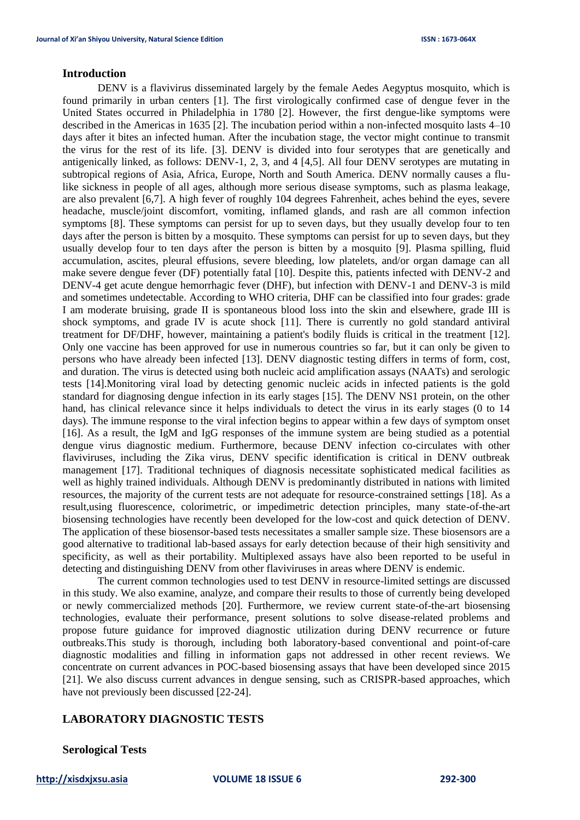#### **Introduction**

DENV is a flavivirus disseminated largely by the female Aedes Aegyptus mosquito, which is found primarily in urban centers [1]. The first virologically confirmed case of dengue fever in the United States occurred in Philadelphia in 1780 [2]. However, the first dengue-like symptoms were described in the Americas in 1635 [2]. The incubation period within a non-infected mosquito lasts 4–10 days after it bites an infected human. After the incubation stage, the vector might continue to transmit the virus for the rest of its life. [3]. DENV is divided into four serotypes that are genetically and antigenically linked, as follows: DENV-1, 2, 3, and 4 [4,5]. All four DENV serotypes are mutating in subtropical regions of Asia, Africa, Europe, North and South America. DENV normally causes a flulike sickness in people of all ages, although more serious disease symptoms, such as plasma leakage, are also prevalent [6,7]. A high fever of roughly 104 degrees Fahrenheit, aches behind the eyes, severe headache, muscle/joint discomfort, vomiting, inflamed glands, and rash are all common infection symptoms [8]. These symptoms can persist for up to seven days, but they usually develop four to ten days after the person is bitten by a mosquito. These symptoms can persist for up to seven days, but they usually develop four to ten days after the person is bitten by a mosquito [9]. Plasma spilling, fluid accumulation, ascites, pleural effusions, severe bleeding, low platelets, and/or organ damage can all make severe dengue fever (DF) potentially fatal [10]. Despite this, patients infected with DENV-2 and DENV-4 get acute dengue hemorrhagic fever (DHF), but infection with DENV-1 and DENV-3 is mild and sometimes undetectable. According to WHO criteria, DHF can be classified into four grades: grade I am moderate bruising, grade II is spontaneous blood loss into the skin and elsewhere, grade III is shock symptoms, and grade IV is acute shock [11]. There is currently no gold standard antiviral treatment for DF/DHF, however, maintaining a patient's bodily fluids is critical in the treatment [12]. Only one vaccine has been approved for use in numerous countries so far, but it can only be given to persons who have already been infected [13]. DENV diagnostic testing differs in terms of form, cost, and duration. The virus is detected using both nucleic acid amplification assays (NAATs) and serologic tests [14].Monitoring viral load by detecting genomic nucleic acids in infected patients is the gold standard for diagnosing dengue infection in its early stages [15]. The DENV NS1 protein, on the other hand, has clinical relevance since it helps individuals to detect the virus in its early stages (0 to 14 days). The immune response to the viral infection begins to appear within a few days of symptom onset [16]. As a result, the IgM and IgG responses of the immune system are being studied as a potential dengue virus diagnostic medium. Furthermore, because DENV infection co-circulates with other flaviviruses, including the Zika virus, DENV specific identification is critical in DENV outbreak management [17]. Traditional techniques of diagnosis necessitate sophisticated medical facilities as well as highly trained individuals. Although DENV is predominantly distributed in nations with limited resources, the majority of the current tests are not adequate for resource-constrained settings [18]. As a result,using fluorescence, colorimetric, or impedimetric detection principles, many state-of-the-art biosensing technologies have recently been developed for the low-cost and quick detection of DENV. The application of these biosensor-based tests necessitates a smaller sample size. These biosensors are a good alternative to traditional lab-based assays for early detection because of their high sensitivity and specificity, as well as their portability. Multiplexed assays have also been reported to be useful in detecting and distinguishing DENV from other flaviviruses in areas where DENV is endemic.

The current common technologies used to test DENV in resource-limited settings are discussed in this study. We also examine, analyze, and compare their results to those of currently being developed or newly commercialized methods [20]. Furthermore, we review current state-of-the-art biosensing technologies, evaluate their performance, present solutions to solve disease-related problems and propose future guidance for improved diagnostic utilization during DENV recurrence or future outbreaks.This study is thorough, including both laboratory-based conventional and point-of-care diagnostic modalities and filling in information gaps not addressed in other recent reviews. We concentrate on current advances in POC-based biosensing assays that have been developed since 2015 [21]. We also discuss current advances in dengue sensing, such as CRISPR-based approaches, which have not previously been discussed [22-24].

# **LABORATORY DIAGNOSTIC TESTS**

**Serological Tests**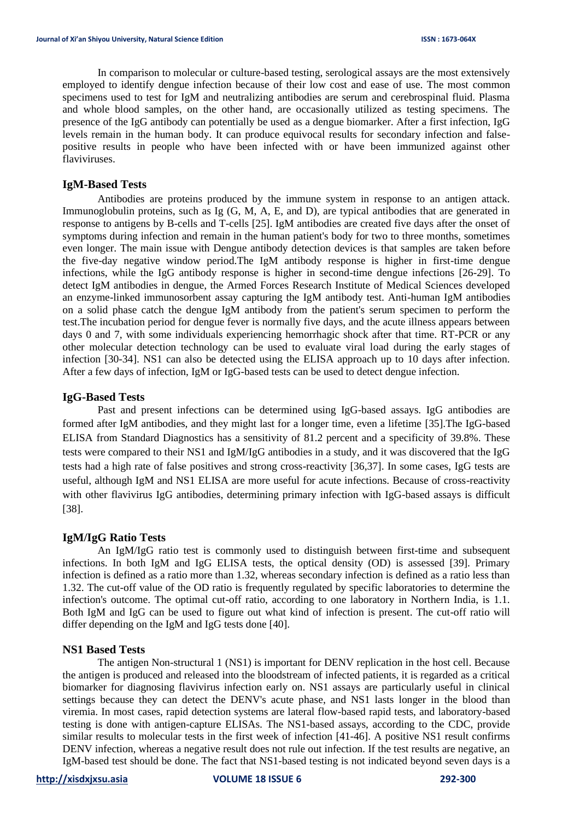In comparison to molecular or culture-based testing, serological assays are the most extensively employed to identify dengue infection because of their low cost and ease of use. The most common specimens used to test for IgM and neutralizing antibodies are serum and cerebrospinal fluid. Plasma and whole blood samples, on the other hand, are occasionally utilized as testing specimens. The presence of the IgG antibody can potentially be used as a dengue biomarker. After a first infection, IgG levels remain in the human body. It can produce equivocal results for secondary infection and falsepositive results in people who have been infected with or have been immunized against other flaviviruses.

## **IgM-Based Tests**

Antibodies are proteins produced by the immune system in response to an antigen attack. Immunoglobulin proteins, such as Ig (G, M, A, E, and D), are typical antibodies that are generated in response to antigens by B-cells and T-cells [25]. IgM antibodies are created five days after the onset of symptoms during infection and remain in the human patient's body for two to three months, sometimes even longer. The main issue with Dengue antibody detection devices is that samples are taken before the five-day negative window period.The IgM antibody response is higher in first-time dengue infections, while the IgG antibody response is higher in second-time dengue infections [26-29]. To detect IgM antibodies in dengue, the Armed Forces Research Institute of Medical Sciences developed an enzyme-linked immunosorbent assay capturing the IgM antibody test. Anti-human IgM antibodies on a solid phase catch the dengue IgM antibody from the patient's serum specimen to perform the test.The incubation period for dengue fever is normally five days, and the acute illness appears between days 0 and 7, with some individuals experiencing hemorrhagic shock after that time. RT-PCR or any other molecular detection technology can be used to evaluate viral load during the early stages of infection [30-34]. NS1 can also be detected using the ELISA approach up to 10 days after infection. After a few days of infection, IgM or IgG-based tests can be used to detect dengue infection.

#### **IgG-Based Tests**

Past and present infections can be determined using IgG-based assays. IgG antibodies are formed after IgM antibodies, and they might last for a longer time, even a lifetime [35].The IgG-based ELISA from Standard Diagnostics has a sensitivity of 81.2 percent and a specificity of 39.8%. These tests were compared to their NS1 and IgM/IgG antibodies in a study, and it was discovered that the IgG tests had a high rate of false positives and strong cross-reactivity [36,37]. In some cases, IgG tests are useful, although IgM and NS1 ELISA are more useful for acute infections. Because of cross-reactivity with other flavivirus IgG antibodies, determining primary infection with IgG-based assays is difficult [38].

# **IgM/IgG Ratio Tests**

An IgM/IgG ratio test is commonly used to distinguish between first-time and subsequent infections. In both IgM and IgG ELISA tests, the optical density (OD) is assessed [39]. Primary infection is defined as a ratio more than 1.32, whereas secondary infection is defined as a ratio less than 1.32. The cut-off value of the OD ratio is frequently regulated by specific laboratories to determine the infection's outcome. The optimal cut-off ratio, according to one laboratory in Northern India, is 1.1. Both IgM and IgG can be used to figure out what kind of infection is present. The cut-off ratio will differ depending on the IgM and IgG tests done [40].

#### **NS1 Based Tests**

The antigen Non-structural 1 (NS1) is important for DENV replication in the host cell. Because the antigen is produced and released into the bloodstream of infected patients, it is regarded as a critical biomarker for diagnosing flavivirus infection early on. NS1 assays are particularly useful in clinical settings because they can detect the DENV's acute phase, and NS1 lasts longer in the blood than viremia. In most cases, rapid detection systems are lateral flow-based rapid tests, and laboratory-based testing is done with antigen-capture ELISAs. The NS1-based assays, according to the CDC, provide similar results to molecular tests in the first week of infection [41-46]. A positive NS1 result confirms DENV infection, whereas a negative result does not rule out infection. If the test results are negative, an IgM-based test should be done. The fact that NS1-based testing is not indicated beyond seven days is a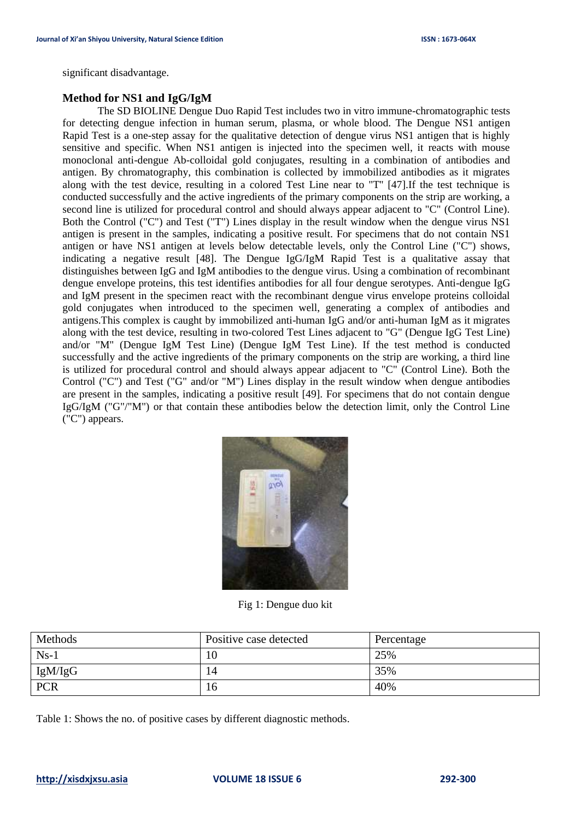significant disadvantage.

# **Method for NS1 and IgG/IgM**

The SD BIOLINE Dengue Duo Rapid Test includes two in vitro immune-chromatographic tests for detecting dengue infection in human serum, plasma, or whole blood. The Dengue NS1 antigen Rapid Test is a one-step assay for the qualitative detection of dengue virus NS1 antigen that is highly sensitive and specific. When NS1 antigen is injected into the specimen well, it reacts with mouse monoclonal anti-dengue Ab-colloidal gold conjugates, resulting in a combination of antibodies and antigen. By chromatography, this combination is collected by immobilized antibodies as it migrates along with the test device, resulting in a colored Test Line near to "T'' [47].If the test technique is conducted successfully and the active ingredients of the primary components on the strip are working, a second line is utilized for procedural control and should always appear adjacent to "C" (Control Line). Both the Control ("C") and Test ("T") Lines display in the result window when the dengue virus NS1 antigen is present in the samples, indicating a positive result. For specimens that do not contain NS1 antigen or have NS1 antigen at levels below detectable levels, only the Control Line ("C") shows, indicating a negative result [48]. The Dengue IgG/IgM Rapid Test is a qualitative assay that distinguishes between IgG and IgM antibodies to the dengue virus. Using a combination of recombinant dengue envelope proteins, this test identifies antibodies for all four dengue serotypes. Anti-dengue IgG and IgM present in the specimen react with the recombinant dengue virus envelope proteins colloidal gold conjugates when introduced to the specimen well, generating a complex of antibodies and antigens.This complex is caught by immobilized anti-human IgG and/or anti-human IgM as it migrates along with the test device, resulting in two-colored Test Lines adjacent to "G" (Dengue IgG Test Line) and/or "M" (Dengue IgM Test Line) (Dengue IgM Test Line). If the test method is conducted successfully and the active ingredients of the primary components on the strip are working, a third line is utilized for procedural control and should always appear adjacent to "C" (Control Line). Both the Control ("C") and Test ("G" and/or "M") Lines display in the result window when dengue antibodies are present in the samples, indicating a positive result [49]. For specimens that do not contain dengue IgG/IgM ("G"/"M") or that contain these antibodies below the detection limit, only the Control Line ("C") appears.



Fig 1: Dengue duo kit

| Methods    | Positive case detected | Percentage |
|------------|------------------------|------------|
| $Ns-1$     | 10                     | 25%        |
| IgM/IgG    | 14                     | 35%        |
| <b>PCR</b> | 16                     | 40%        |

Table 1: Shows the no. of positive cases by different diagnostic methods.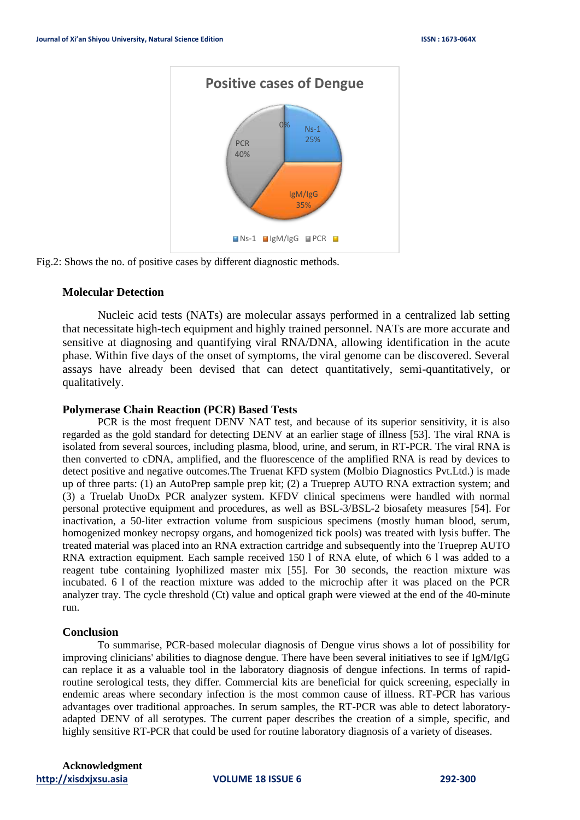

Fig.2: Shows the no. of positive cases by different diagnostic methods.

# **Molecular Detection**

Nucleic acid tests (NATs) are molecular assays performed in a centralized lab setting that necessitate high-tech equipment and highly trained personnel. NATs are more accurate and sensitive at diagnosing and quantifying viral RNA/DNA, allowing identification in the acute phase. Within five days of the onset of symptoms, the viral genome can be discovered. Several assays have already been devised that can detect quantitatively, semi-quantitatively, or qualitatively.

#### **Polymerase Chain Reaction (PCR) Based Tests**

PCR is the most frequent DENV NAT test, and because of its superior sensitivity, it is also regarded as the gold standard for detecting DENV at an earlier stage of illness [53]. The viral RNA is isolated from several sources, including plasma, blood, urine, and serum, in RT-PCR. The viral RNA is then converted to cDNA, amplified, and the fluorescence of the amplified RNA is read by devices to detect positive and negative outcomes.The Truenat KFD system (Molbio Diagnostics Pvt.Ltd.) is made up of three parts: (1) an AutoPrep sample prep kit; (2) a Trueprep AUTO RNA extraction system; and (3) a Truelab UnoDx PCR analyzer system. KFDV clinical specimens were handled with normal personal protective equipment and procedures, as well as BSL-3/BSL-2 biosafety measures [54]. For inactivation, a 50-liter extraction volume from suspicious specimens (mostly human blood, serum, homogenized monkey necropsy organs, and homogenized tick pools) was treated with lysis buffer. The treated material was placed into an RNA extraction cartridge and subsequently into the Trueprep AUTO RNA extraction equipment. Each sample received 150 l of RNA elute, of which 6 l was added to a reagent tube containing lyophilized master mix [55]. For 30 seconds, the reaction mixture was incubated. 6 l of the reaction mixture was added to the microchip after it was placed on the PCR analyzer tray. The cycle threshold (Ct) value and optical graph were viewed at the end of the 40-minute run.

#### **Conclusion**

To summarise, PCR-based molecular diagnosis of Dengue virus shows a lot of possibility for improving clinicians' abilities to diagnose dengue. There have been several initiatives to see if IgM/IgG can replace it as a valuable tool in the laboratory diagnosis of dengue infections. In terms of rapidroutine serological tests, they differ. Commercial kits are beneficial for quick screening, especially in endemic areas where secondary infection is the most common cause of illness. RT-PCR has various advantages over traditional approaches. In serum samples, the RT-PCR was able to detect laboratoryadapted DENV of all serotypes. The current paper describes the creation of a simple, specific, and highly sensitive RT-PCR that could be used for routine laboratory diagnosis of a variety of diseases.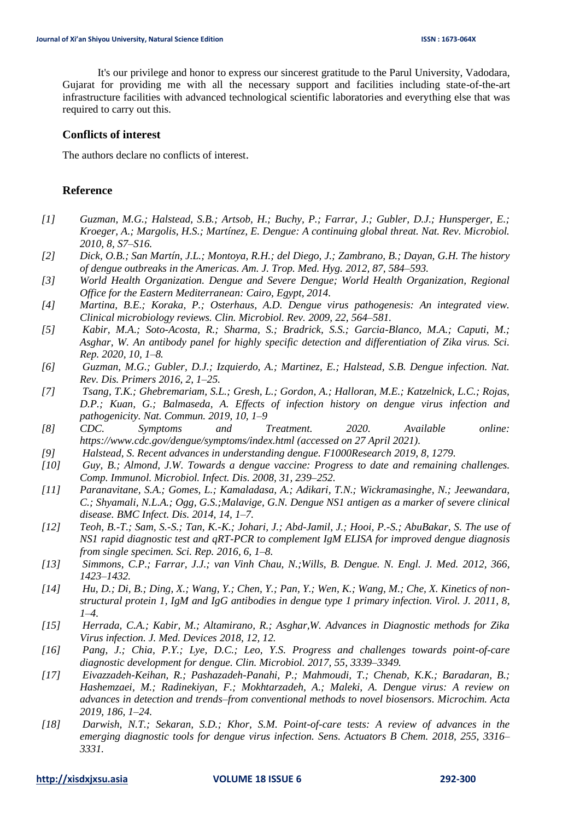It's our privilege and honor to express our sincerest gratitude to the Parul University, Vadodara, Gujarat for providing me with all the necessary support and facilities including state-of-the-art infrastructure facilities with advanced technological scientific laboratories and everything else that was required to carry out this.

# **Conflicts of interest**

The authors declare no conflicts of interest.

## **Reference**

- *[1] Guzman, M.G.; Halstead, S.B.; Artsob, H.; Buchy, P.; Farrar, J.; Gubler, D.J.; Hunsperger, E.; Kroeger, A.; Margolis, H.S.; Martínez, E. Dengue: A continuing global threat. Nat. Rev. Microbiol. 2010, 8, S7–S16.*
- *[2] Dick, O.B.; San Martín, J.L.; Montoya, R.H.; del Diego, J.; Zambrano, B.; Dayan, G.H. The history of dengue outbreaks in the Americas. Am. J. Trop. Med. Hyg. 2012, 87, 584–593.*
- *[3] World Health Organization. Dengue and Severe Dengue; World Health Organization, Regional Office for the Eastern Mediterranean: Cairo, Egypt, 2014.*
- *[4] Martina, B.E.; Koraka, P.; Osterhaus, A.D. Dengue virus pathogenesis: An integrated view. Clinical microbiology reviews. Clin. Microbiol. Rev. 2009, 22, 564–581.*
- *[5] Kabir, M.A.; Soto-Acosta, R.; Sharma, S.; Bradrick, S.S.; Garcia-Blanco, M.A.; Caputi, M.; Asghar, W. An antibody panel for highly specific detection and differentiation of Zika virus. Sci. Rep. 2020, 10, 1–8.*
- *[6] Guzman, M.G.; Gubler, D.J.; Izquierdo, A.; Martinez, E.; Halstead, S.B. Dengue infection. Nat. Rev. Dis. Primers 2016, 2, 1–25.*
- *[7] Tsang, T.K.; Ghebremariam, S.L.; Gresh, L.; Gordon, A.; Halloran, M.E.; Katzelnick, L.C.; Rojas, D.P.; Kuan, G.; Balmaseda, A. Effects of infection history on dengue virus infection and pathogenicity. Nat. Commun. 2019, 10, 1–9*
- *[8] CDC. Symptoms and Treatment. 2020. Available online: https://www.cdc.gov/dengue/symptoms/index.html (accessed on 27 April 2021).*
- *[9] Halstead, S. Recent advances in understanding dengue. F1000Research 2019, 8, 1279.*
- *[10] Guy, B.; Almond, J.W. Towards a dengue vaccine: Progress to date and remaining challenges. Comp. Immunol. Microbiol. Infect. Dis. 2008, 31, 239–252.*
- *[11] Paranavitane, S.A.; Gomes, L.; Kamaladasa, A.; Adikari, T.N.; Wickramasinghe, N.; Jeewandara, C.; Shyamali, N.L.A.; Ogg, G.S.;Malavige, G.N. Dengue NS1 antigen as a marker of severe clinical disease. BMC Infect. Dis. 2014, 14, 1–7.*
- *[12] Teoh, B.-T.; Sam, S.-S.; Tan, K.-K.; Johari, J.; Abd-Jamil, J.; Hooi, P.-S.; AbuBakar, S. The use of NS1 rapid diagnostic test and qRT-PCR to complement IgM ELISA for improved dengue diagnosis from single specimen. Sci. Rep. 2016, 6, 1–8.*
- *[13] Simmons, C.P.; Farrar, J.J.; van Vinh Chau, N.;Wills, B. Dengue. N. Engl. J. Med. 2012, 366, 1423–1432.*
- *[14] Hu, D.; Di, B.; Ding, X.; Wang, Y.; Chen, Y.; Pan, Y.; Wen, K.; Wang, M.; Che, X. Kinetics of nonstructural protein 1, IgM and IgG antibodies in dengue type 1 primary infection. Virol. J. 2011, 8, 1–4.*
- *[15] Herrada, C.A.; Kabir, M.; Altamirano, R.; Asghar,W. Advances in Diagnostic methods for Zika Virus infection. J. Med. Devices 2018, 12, 12.*
- *[16] Pang, J.; Chia, P.Y.; Lye, D.C.; Leo, Y.S. Progress and challenges towards point-of-care diagnostic development for dengue. Clin. Microbiol. 2017, 55, 3339–3349.*
- *[17] Eivazzadeh-Keihan, R.; Pashazadeh-Panahi, P.; Mahmoudi, T.; Chenab, K.K.; Baradaran, B.; Hashemzaei, M.; Radinekiyan, F.; Mokhtarzadeh, A.; Maleki, A. Dengue virus: A review on advances in detection and trends–from conventional methods to novel biosensors. Microchim. Acta 2019, 186, 1–24.*
- *[18] Darwish, N.T.; Sekaran, S.D.; Khor, S.M. Point-of-care tests: A review of advances in the emerging diagnostic tools for dengue virus infection. Sens. Actuators B Chem. 2018, 255, 3316– 3331.*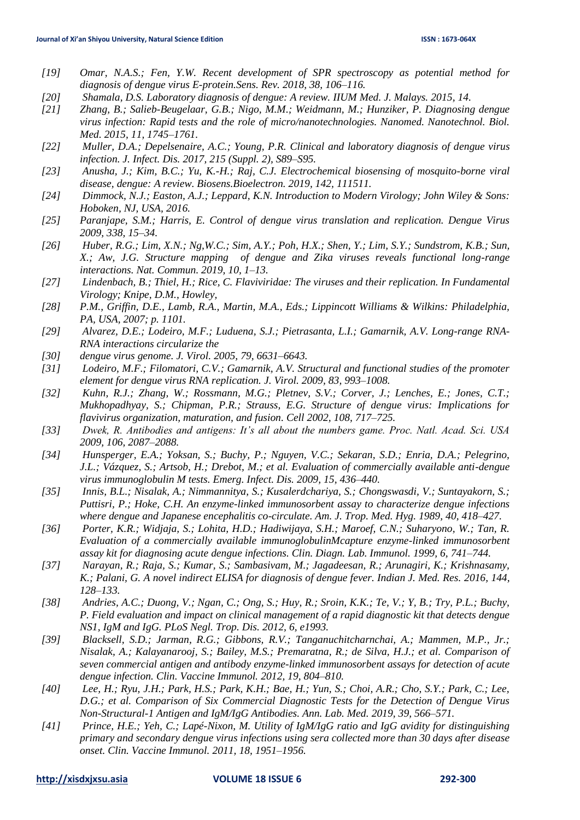- *[19] Omar, N.A.S.; Fen, Y.W. Recent development of SPR spectroscopy as potential method for diagnosis of dengue virus E-protein.Sens. Rev. 2018, 38, 106–116.*
- *[20] Shamala, D.S. Laboratory diagnosis of dengue: A review. IIUM Med. J. Malays. 2015, 14.*
- *[21] Zhang, B.; Salieb-Beugelaar, G.B.; Nigo, M.M.; Weidmann, M.; Hunziker, P. Diagnosing dengue virus infection: Rapid tests and the role of micro/nanotechnologies. Nanomed. Nanotechnol. Biol. Med. 2015, 11, 1745–1761.*
- *[22] Muller, D.A.; Depelsenaire, A.C.; Young, P.R. Clinical and laboratory diagnosis of dengue virus infection. J. Infect. Dis. 2017, 215 (Suppl. 2), S89–S95.*
- *[23] Anusha, J.; Kim, B.C.; Yu, K.-H.; Raj, C.J. Electrochemical biosensing of mosquito-borne viral disease, dengue: A review. Biosens.Bioelectron. 2019, 142, 111511.*
- *[24] Dimmock, N.J.; Easton, A.J.; Leppard, K.N. Introduction to Modern Virology; John Wiley & Sons: Hoboken, NJ, USA, 2016.*
- *[25] Paranjape, S.M.; Harris, E. Control of dengue virus translation and replication. Dengue Virus 2009, 338, 15–34.*
- *[26] Huber, R.G.; Lim, X.N.; Ng,W.C.; Sim, A.Y.; Poh, H.X.; Shen, Y.; Lim, S.Y.; Sundstrom, K.B.; Sun, X.; Aw, J.G. Structure mapping of dengue and Zika viruses reveals functional long-range interactions. Nat. Commun. 2019, 10, 1–13.*
- *[27] Lindenbach, B.; Thiel, H.; Rice, C. Flaviviridae: The viruses and their replication. In Fundamental Virology; Knipe, D.M., Howley,*
- *[28] P.M., Griffin, D.E., Lamb, R.A., Martin, M.A., Eds.; Lippincott Williams & Wilkins: Philadelphia, PA, USA, 2007; p. 1101.*
- *[29] Alvarez, D.E.; Lodeiro, M.F.; Luduena, S.J.; Pietrasanta, L.I.; Gamarnik, A.V. Long-range RNA-RNA interactions circularize the*
- *[30] dengue virus genome. J. Virol. 2005, 79, 6631–6643.*
- *[31] Lodeiro, M.F.; Filomatori, C.V.; Gamarnik, A.V. Structural and functional studies of the promoter element for dengue virus RNA replication. J. Virol. 2009, 83, 993–1008.*
- *[32] Kuhn, R.J.; Zhang, W.; Rossmann, M.G.; Pletnev, S.V.; Corver, J.; Lenches, E.; Jones, C.T.; Mukhopadhyay, S.; Chipman, P.R.; Strauss, E.G. Structure of dengue virus: Implications for flavivirus organization, maturation, and fusion. Cell 2002, 108, 717–725.*
- *[33] Dwek, R. Antibodies and antigens: It's all about the numbers game. Proc. Natl. Acad. Sci. USA 2009, 106, 2087–2088.*
- *[34] Hunsperger, E.A.; Yoksan, S.; Buchy, P.; Nguyen, V.C.; Sekaran, S.D.; Enria, D.A.; Pelegrino, J.L.; Vázquez, S.; Artsob, H.; Drebot, M.; et al. Evaluation of commercially available anti-dengue virus immunoglobulin M tests. Emerg. Infect. Dis. 2009, 15, 436–440.*
- *[35] Innis, B.L.; Nisalak, A.; Nimmannitya, S.; Kusalerdchariya, S.; Chongswasdi, V.; Suntayakorn, S.; Puttisri, P.; Hoke, C.H. An enzyme-linked immunosorbent assay to characterize dengue infections where dengue and Japanese encephalitis co-circulate. Am. J. Trop. Med. Hyg. 1989, 40, 418–427.*
- *[36] Porter, K.R.; Widjaja, S.; Lohita, H.D.; Hadiwijaya, S.H.; Maroef, C.N.; Suharyono, W.; Tan, R. Evaluation of a commercially available immunoglobulinMcapture enzyme-linked immunosorbent assay kit for diagnosing acute dengue infections. Clin. Diagn. Lab. Immunol. 1999, 6, 741–744.*
- *[37] Narayan, R.; Raja, S.; Kumar, S.; Sambasivam, M.; Jagadeesan, R.; Arunagiri, K.; Krishnasamy, K.; Palani, G. A novel indirect ELISA for diagnosis of dengue fever. Indian J. Med. Res. 2016, 144, 128–133.*
- *[38] Andries, A.C.; Duong, V.; Ngan, C.; Ong, S.; Huy, R.; Sroin, K.K.; Te, V.; Y, B.; Try, P.L.; Buchy, P. Field evaluation and impact on clinical management of a rapid diagnostic kit that detects dengue NS1, IgM and IgG. PLoS Negl. Trop. Dis. 2012, 6, e1993.*
- *[39] Blacksell, S.D.; Jarman, R.G.; Gibbons, R.V.; Tanganuchitcharnchai, A.; Mammen, M.P., Jr.; Nisalak, A.; Kalayanarooj, S.; Bailey, M.S.; Premaratna, R.; de Silva, H.J.; et al. Comparison of seven commercial antigen and antibody enzyme-linked immunosorbent assays for detection of acute dengue infection. Clin. Vaccine Immunol. 2012, 19, 804–810.*
- *[40] Lee, H.; Ryu, J.H.; Park, H.S.; Park, K.H.; Bae, H.; Yun, S.; Choi, A.R.; Cho, S.Y.; Park, C.; Lee, D.G.; et al. Comparison of Six Commercial Diagnostic Tests for the Detection of Dengue Virus Non-Structural-1 Antigen and IgM/IgG Antibodies. Ann. Lab. Med. 2019, 39, 566–571.*
- *[41] Prince, H.E.; Yeh, C.; Lapé-Nixon, M. Utility of IgM/IgG ratio and IgG avidity for distinguishing primary and secondary dengue virus infections using sera collected more than 30 days after disease onset. Clin. Vaccine Immunol. 2011, 18, 1951–1956.*